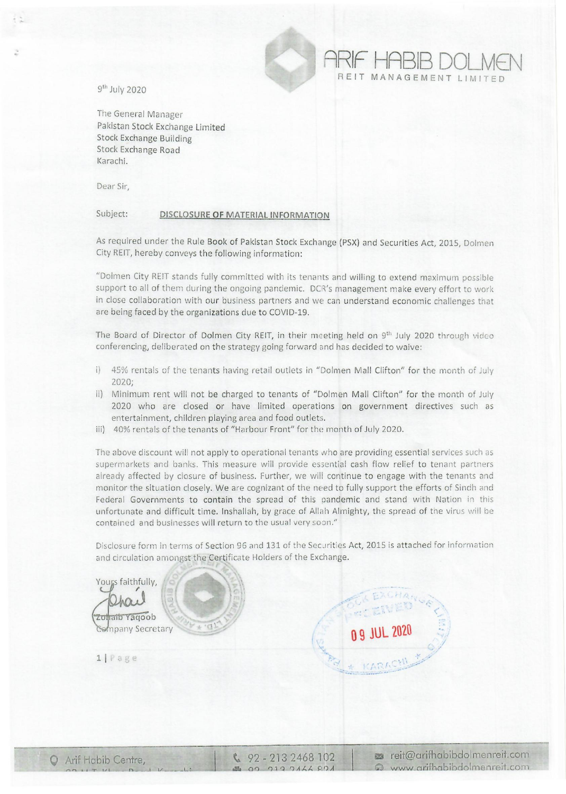9th July 2020

.:

The General Manager Pakistan Stock Exchange Limited Stock Exchange Building Stock Exchange Road Karachi.

Dear Sir,

## Subject: DISCLOSURE OF MATERIAL INFORMATION

As required under the Rule Book of Pakistan Stock Exchange (PSX) and Securities Act, 2015, Dolmen City REIT, hereby conveys the following information:

"Dolmen City REIT stands fully committed with its tenants and willing to extend maximum possible support to all of them during the ongoing pandemic. OCR's management make every effort to work in close collaboration with our business partners and we can understand economic challenges that are being faced by the organizations due to COVID-19.

The Board of Director of Dolmen City REIT, in their meeting held on 9<sup>th</sup> July 2020 through video conferencing, deliberated on the strategy going forward and has decided to waive:

- i) 45% rentals of the tenants having retail outlets in "Dolmen Mall Clifton" for the month of July 2020;
- ii) Minimum rent will not be charged to tenants of "Dolmen Mall Clifton" for the month of July 2020 who are closed or have limited operations on government directives such as entertainment, children playing area and food outlets,
- iii) 40% rentals of the tenants of "Harbour Front" for the month of July 2020.

The above discount will not apply to operational tenants who are providing essential services such as supermarkets and banks. This measure will provide essential cash flow relief to tenant partners already affected by closure of business. Further, we will continue to engage with the tenants and monitor the situation closely. We are cognizant of the need to fully support the efforts of Sindh and Federal Governments to contain the spread of this pandemic and stand with Nation in this unfortunate and difficult time. Inshallah, by grace of Allah Almighty, the spread of the virus will be contained and businesses will return to the usual very soon."

Disclosure form in terms of Section 96 and 131 of the Securities Act, 2015 is attached for information and circulation amongst the Certificate Holders of the Exchange.



 $\frac{6}{2}$  92 - 213 2468 102 00 019 0166 801

**reit@arifhabibdolmenreit.com**  $\odot$  www.arifhabibdolmenreit.com

**ARIF HABIB DOLMEN**  REIT MANAGEMENT LIMITED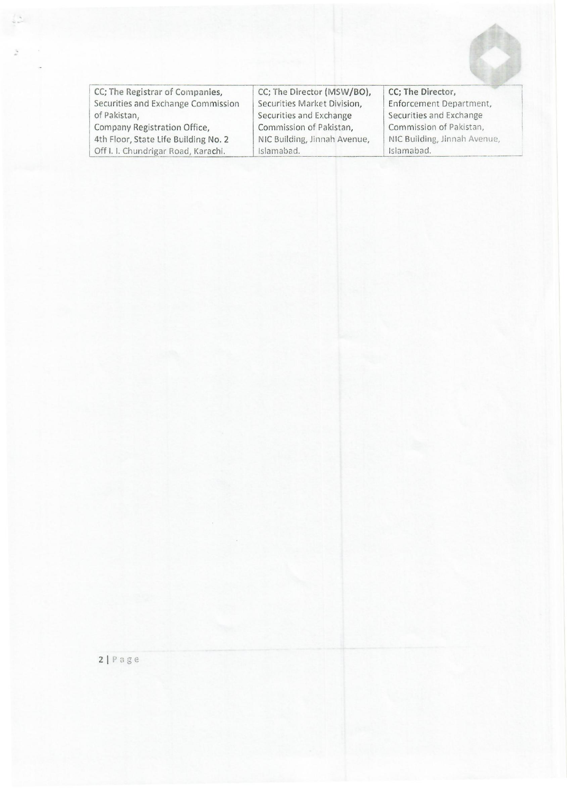| CC; The Registrar of Companies,      | CC; The Director (MSW/BO),   | CC; The Director,            |
|--------------------------------------|------------------------------|------------------------------|
| Securities and Exchange Commission   | Securities Market Division,  | Enforcement Department,      |
| of Pakistan,                         | Securities and Exchange      | Securities and Exchange      |
| Company Registration Office,         | Commission of Pakistan,      | Commission of Pakistan,      |
| 4th Floor, State Life Building No. 2 | NIC Building, Jinnah Avenue, | NIC Building, Jinnah Avenue, |
| Off I. I. Chundrigar Road, Karachi.  | Islamabad.                   | Islamabad.                   |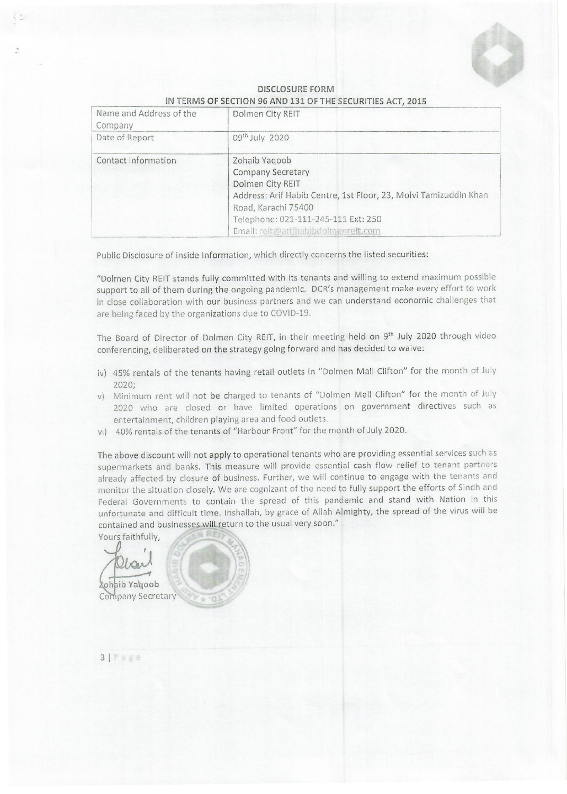

| Name and Address of the<br>Company | Dolmen City REIT                                                                                                                                                                                                                       |
|------------------------------------|----------------------------------------------------------------------------------------------------------------------------------------------------------------------------------------------------------------------------------------|
| Date of Report                     | 09 <sup>th</sup> July 2020                                                                                                                                                                                                             |
| Contact Information                | Zohaib Yaqoob<br><b>Company Secretary</b><br>Dolmen City REIT<br>Address: Arif Habib Centre, 1st Floor, 23, Molvi Tamizuddin Khan<br>Road, Karachi 75400<br>Telephone: 021-111-245-111 Ext: 250<br>Email: reit@arifhabibdolmenreit.com |

## **DISCLOSURE FOFtM IN TERMS OF SECTION 96 AND 131 OF THE SECURITIES ACT, 2015**

Public Disclosure of inside Information, which directly concerns the listed securities:

"Dolmen City **REIT** stands fully committed with its tenants and willing to extend maximum possible support to all of them during the ongoing pandemic. DCR's management make every effort to work in close collaboration with our business partners and we can understand economic challenges that are being faced by the organizations due to COVID-19.

The Board of Director of Dolmen City REIT, in their meeting held on 9<sup>th</sup> July 2020 through video conferencing, deliberated on the strategy going forward and has decided to waive:

- iv) 45% rentals of the tenants having retail outlets in "Dolmen Mall Clifton" for the month of July 2020;
- v) Minimum rent will not be charged to tenants of "Dolmen Mall Clifton" for the month of July 2020 who are closed or have limited operations on government directives such as entertainment, children playing area and food outlets.
- vi) 40% rentals of the tenants of "Harbour Front" for the month of July 2020.

The above discount will not apply to operational tenants who are providing essential services such as supermarkets and banks. This measure will provide essential cash flow relief to tenant partners already affected by closure of business. Further, we will continue to engage with the tenants and monitor the situation closely. We are cognizant of the need to fully support the efforts of Sindh and Federal Governments to contain the spread of this pandemic and stand with Nation in this unfortunate and difficult time. Inshallah, by grace of Allah Almighty, the spread of the virus will be contained and businesses will return to the usual very soon."

Yours faithfully,

**Zohaib Yagoob** Company Secretary

**31**